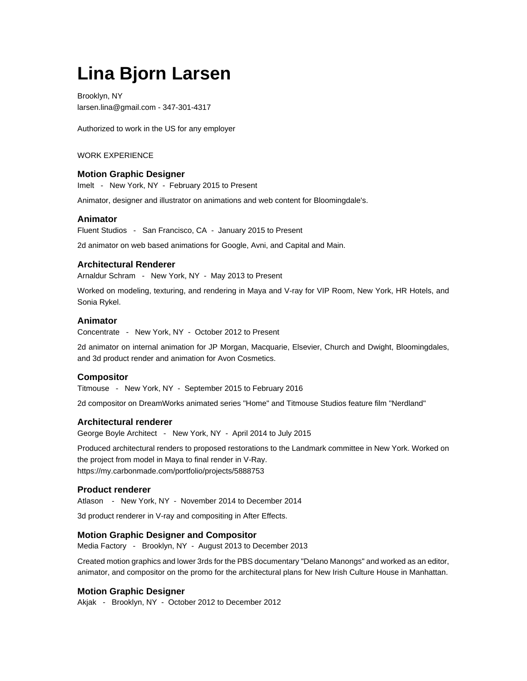# **Lina Bjorn Larsen**

Brooklyn, NY larsen.lina@gmail.com - 347-301-4317

Authorized to work in the US for any employer

## WORK EXPERIENCE

#### **Motion Graphic Designer**

Imelt - New York, NY - February 2015 to Present

Animator, designer and illustrator on animations and web content for Bloomingdale's.

#### **Animator**

Fluent Studios - San Francisco, CA - January 2015 to Present

2d animator on web based animations for Google, Avni, and Capital and Main.

# **Architectural Renderer**

Arnaldur Schram - New York, NY - May 2013 to Present

Worked on modeling, texturing, and rendering in Maya and V-ray for VIP Room, New York, HR Hotels, and Sonia Rykel.

#### **Animator**

Concentrate - New York, NY - October 2012 to Present

2d animator on internal animation for JP Morgan, Macquarie, Elsevier, Church and Dwight, Bloomingdales, and 3d product render and animation for Avon Cosmetics.

## **Compositor**

Titmouse - New York, NY - September 2015 to February 2016

2d compositor on DreamWorks animated series "Home" and Titmouse Studios feature film "Nerdland"

## **Architectural renderer**

George Boyle Architect - New York, NY - April 2014 to July 2015

Produced architectural renders to proposed restorations to the Landmark committee in New York. Worked on the project from model in Maya to final render in V-Ray. https://my.carbonmade.com/portfolio/projects/5888753

#### **Product renderer**

Atlason - New York, NY - November 2014 to December 2014

3d product renderer in V-ray and compositing in After Effects.

# **Motion Graphic Designer and Compositor**

Media Factory - Brooklyn, NY - August 2013 to December 2013

Created motion graphics and lower 3rds for the PBS documentary "Delano Manongs" and worked as an editor, animator, and compositor on the promo for the architectural plans for New Irish Culture House in Manhattan.

# **Motion Graphic Designer**

Akjak - Brooklyn, NY - October 2012 to December 2012